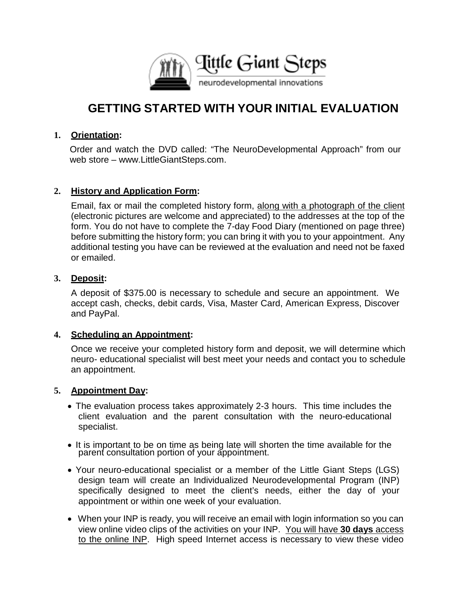

# **GETTING STARTED WITH YOUR INITIAL EVALUATION**

#### **1. Orientation:**

Order and watch the DVD called: "The NeuroDevelopmental Approach" from our web store – [www.LittleGiantSteps.com.](http://www.littlegiantsteps.com/)

#### **2. History and Application Form:**

Email, fax or mail the completed history form, along with a photograph of the client (electronic pictures are welcome and appreciated) to the addresses at the top of the form. You do not have to complete the 7-day Food Diary (mentioned on page three) before submitting the history form; you can bring it with you to your appointment. Any additional testing you have can be reviewed at the evaluation and need not be faxed or emailed.

#### **3. Deposit:**

A deposit of \$375.00 is necessary to schedule and secure an appointment. We accept cash, checks, debit cards, Visa, Master Card, American Express, Discover and PayPal.

#### **4. Scheduling an Appointment:**

Once we receive your completed history form and deposit, we will determine which neuro- educational specialist will best meet your needs and contact you to schedule an appointment.

#### **5. Appointment Day:**

- The evaluation process takes approximately 2-3 hours. This time includes the client evaluation and the parent consultation with the neuro-educational specialist.
- It is important to be on time as being late will shorten the time available for the parent consultation portion of your appointment.
- Your neuro-educational specialist or a member of the Little Giant Steps (LGS) design team will create an Individualized Neurodevelopmental Program (INP) specifically designed to meet the client's needs, either the day of your appointment or within one week of your evaluation.
- When your INP is ready, you will receive an email with login information so you can view online video clips of the activities on your INP. You will have **30 days** access to the online INP. High speed Internet access is necessary to view these video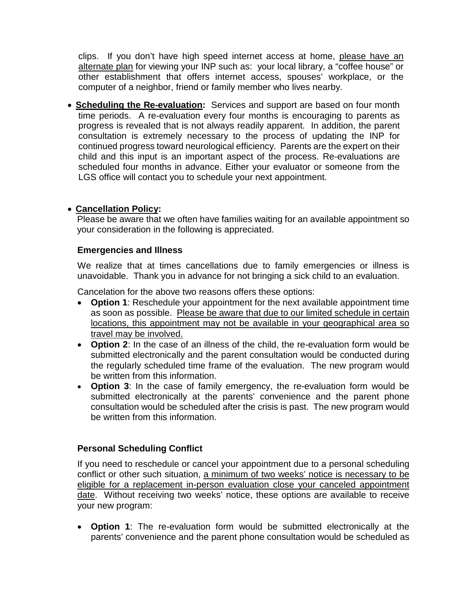clips. If you don't have high speed internet access at home, please have an alternate plan for viewing your INP such as: your local library, a "coffee house" or other establishment that offers internet access, spouses' workplace, or the computer of a neighbor, friend or family member who lives nearby.

• **Scheduling the Re-evaluation:** Services and support are based on four month time periods. A re-evaluation every four months is encouraging to parents as progress is revealed that is not always readily apparent. In addition, the parent consultation is extremely necessary to the process of updating the INP for continued progress toward neurological efficiency. Parents are the expert on their child and this input is an important aspect of the process. Re-evaluations are scheduled four months in advance. Either your evaluator or someone from the LGS office will contact you to schedule your next appointment.

#### • **Cancellation Policy:**

Please be aware that we often have families waiting for an available appointment so your consideration in the following is appreciated.

#### **Emergencies and Illness**

We realize that at times cancellations due to family emergencies or illness is unavoidable. Thank you in advance for not bringing a sick child to an evaluation.

Cancelation for the above two reasons offers these options:

- **Option 1**: Reschedule your appointment for the next available appointment time as soon as possible. Please be aware that due to our limited schedule in certain locations, this appointment may not be available in your geographical area so travel may be involved.
- **Option 2**: In the case of an illness of the child, the re-evaluation form would be submitted electronically and the parent consultation would be conducted during the regularly scheduled time frame of the evaluation. The new program would be written from this information.
- **Option 3**: In the case of family emergency, the re-evaluation form would be submitted electronically at the parents' convenience and the parent phone consultation would be scheduled after the crisis is past. The new program would be written from this information.

## **Personal Scheduling Conflict**

If you need to reschedule or cancel your appointment due to a personal scheduling conflict or other such situation, a minimum of two weeks' notice is necessary to be eligible for a replacement in-person evaluation close your canceled appointment date. Without receiving two weeks' notice, these options are available to receive your new program:

• **Option 1**: The re-evaluation form would be submitted electronically at the parents' convenience and the parent phone consultation would be scheduled as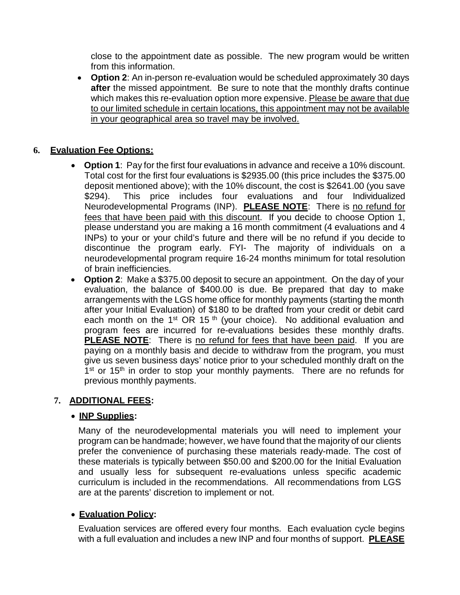close to the appointment date as possible. The new program would be written from this information.

• **Option 2**: An in-person re-evaluation would be scheduled approximately 30 days **after** the missed appointment. Be sure to note that the monthly drafts continue which makes this re-evaluation option more expensive. Please be aware that due to our limited schedule in certain locations, this appointment may not be available in your geographical area so travel may be involved.

## **6. Evaluation Fee Options:**

- **Option 1**: Pay for the first four evaluations in advance and receive a 10% discount. Total cost for the first four evaluations is \$2935.00 (this price includes the \$375.00 deposit mentioned above); with the 10% discount, the cost is \$2641.00 (you save \$294). This price includes four evaluations and four Individualized Neurodevelopmental Programs (INP). **PLEASE NOTE**: There is no refund for fees that have been paid with this discount. If you decide to choose Option 1, please understand you are making a 16 month commitment (4 evaluations and 4 INPs) to your or your child's future and there will be no refund if you decide to discontinue the program early. FYI- The majority of individuals on a neurodevelopmental program require 16-24 months minimum for total resolution of brain inefficiencies.
- **Option 2**: Make a \$375.00 deposit to secure an appointment. On the day of your evaluation, the balance of \$400.00 is due. Be prepared that day to make arrangements with the LGS home office for monthly payments (starting the month after your Initial Evaluation) of \$180 to be drafted from your credit or debit card each month on the 1<sup>st</sup> OR 15<sup>th</sup> (your choice). No additional evaluation and program fees are incurred for re-evaluations besides these monthly drafts. **PLEASE NOTE**: There is no refund for fees that have been paid. If you are paying on a monthly basis and decide to withdraw from the program, you must give us seven business days' notice prior to your scheduled monthly draft on the  $1<sup>st</sup>$  or 15<sup>th</sup> in order to stop your monthly payments. There are no refunds for previous monthly payments.

## **7. ADDITIONAL FEES:**

## • **INP Supplies:**

Many of the neurodevelopmental materials you will need to implement your program can be handmade; however, we have found that the majority of our clients prefer the convenience of purchasing these materials ready-made. The cost of these materials is typically between \$50.00 and \$200.00 for the Initial Evaluation and usually less for subsequent re-evaluations unless specific academic curriculum is included in the recommendations. All recommendations from LGS are at the parents' discretion to implement or not.

## • **Evaluation Policy:**

Evaluation services are offered every four months. Each evaluation cycle begins with a full evaluation and includes a new INP and four months of support. **PLEASE**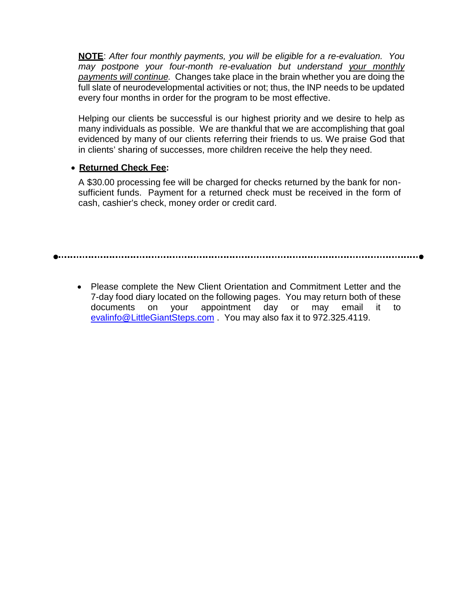**NOTE**: *After four monthly payments, you will be eligible for a re-evaluation. You may postpone your four-month re-evaluation but understand your monthly payments will continue.* Changes take place in the brain whether you are doing the full slate of neurodevelopmental activities or not; thus, the INP needs to be updated every four months in order for the program to be most effective.

Helping our clients be successful is our highest priority and we desire to help as many individuals as possible. We are thankful that we are accomplishing that goal evidenced by many of our clients referring their friends to us. We praise God that in clients' sharing of successes, more children receive the help they need.

## • **Returned Check Fee:**

A \$30.00 processing fee will be charged for checks returned by the bank for nonsufficient funds. Payment for a returned check must be received in the form of cash, cashier's check, money order or credit card.

• Please complete the New Client Orientation and Commitment Letter and the 7-day food diary located on the following pages. You may return both of these documents on your appointment day or may email it to [evalinfo@LittleGiantSteps.com](mailto:evalinfo@LittleGiantSteps.com) . You may also fax it to 972.325.4119.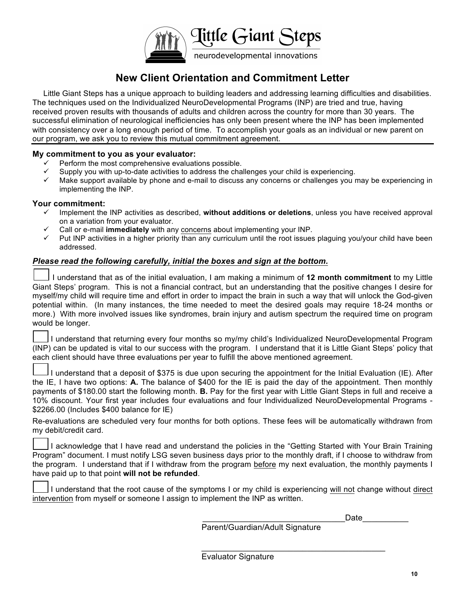

# **New Client Orientation and Commitment Letter**

Little Giant Steps has a unique approach to building leaders and addressing learning difficulties and disabilities. The techniques used on the Individualized NeuroDevelopmental Programs (INP) are tried and true, having received proven results with thousands of adults and children across the country for more than 30 years. The successful elimination of neurological inefficiencies has only been present where the INP has been implemented with consistency over a long enough period of time. To accomplish your goals as an individual or new parent on our program, we ask you to review this mutual commitment agreement.

#### **My commitment to you as your evaluator:**

- ! Perform the most comprehensive evaluations possible.
- Supply you with up-to-date activities to address the challenges your child is experiencing.
- ! Make support available by phone and e-mail to discuss any concerns or challenges you may be experiencing in implementing the INP.

#### **Your commitment:**

- ! Implement the INP activities as described, **without additions or deletions**, unless you have received approval on a variation from your evaluator.
- ! Call or e-mail **immediately** with any concerns about implementing your INP.
- $\checkmark$  Put INP activities in a higher priority than any curriculum until the root issues plaguing you/your child have been addressed.

#### *Please read the following carefully, initial the boxes and sign at the bottom.*

 I understand that as of the initial evaluation, I am making a minimum of **12 month commitment** to my Little Giant Steps' program. This is not a financial contract, but an understanding that the positive changes I desire for myself/my child will require time and effort in order to impact the brain in such a way that will unlock the God-given potential within. (In many instances, the time needed to meet the desired goals may require 18-24 months or more.) With more involved issues like syndromes, brain injury and autism spectrum the required time on program would be longer.

 I understand that returning every four months so my/my child's Individualized NeuroDevelopmental Program (INP) can be updated is vital to our success with the program. I understand that it is Little Giant Steps' policy that each client should have three evaluations per year to fulfill the above mentioned agreement.

 I understand that a deposit of \$375 is due upon securing the appointment for the Initial Evaluation (IE). After the IE, I have two options: **A.** The balance of \$400 for the IE is paid the day of the appointment. Then monthly payments of \$180.00 start the following month. **B.** Pay for the first year with Little Giant Steps in full and receive a 10% discount. Your first year includes four evaluations and four Individualized NeuroDevelopmental Programs - \$2266.00 (Includes \$400 balance for IE)

Re-evaluations are scheduled very four months for both options. These fees will be automatically withdrawn from my debit/credit card.

 I acknowledge that I have read and understand the policies in the "Getting Started with Your Brain Training Program" document. I must notify LSG seven business days prior to the monthly draft, if I choose to withdraw from the program. I understand that if I withdraw from the program before my next evaluation, the monthly payments I have paid up to that point **will not be refunded**.

 I understand that the root cause of the symptoms I or my child is experiencing will not change without direct intervention from myself or someone I assign to implement the INP as written.

\_\_\_\_\_\_\_\_\_\_\_\_\_\_\_\_\_\_\_\_\_\_\_\_\_\_\_\_\_\_\_Date\_\_\_\_\_\_\_\_\_\_

Parent/Guardian/Adult Signature

 $\overline{\mathcal{L}}$  , and the contribution of the contribution of  $\overline{\mathcal{L}}$ 

Evaluator Signature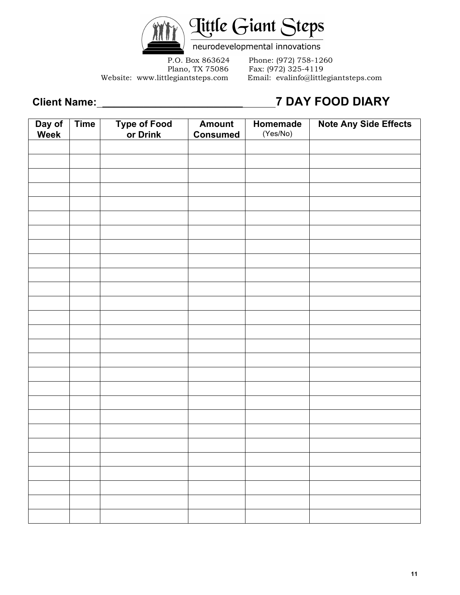

neurodevelopmental innovations

P.O. Box 863624 Phone: (972) 758-1260 Plano, TX 75086 Fax: (972) 325-4119 Website: www.littlegiantsteps.com Email: evalinfo@littlegiantsteps.com

# **Client Name: \_\_\_\_\_\_\_\_\_\_\_\_\_\_\_\_\_\_\_\_\_\_\_\_ 7 DAY FOOD DIARY**

| Day of<br>Week | <b>Time</b> | Type of Food<br>or Drink | <b>Amount</b><br><b>Consumed</b> | Homemade<br>(Yes/No) | Note Any Side Effects |
|----------------|-------------|--------------------------|----------------------------------|----------------------|-----------------------|
|                |             |                          |                                  |                      |                       |
|                |             |                          |                                  |                      |                       |
|                |             |                          |                                  |                      |                       |
|                |             |                          |                                  |                      |                       |
|                |             |                          |                                  |                      |                       |
|                |             |                          |                                  |                      |                       |
|                |             |                          |                                  |                      |                       |
|                |             |                          |                                  |                      |                       |
|                |             |                          |                                  |                      |                       |
|                |             |                          |                                  |                      |                       |
|                |             |                          |                                  |                      |                       |
|                |             |                          |                                  |                      |                       |
|                |             |                          |                                  |                      |                       |
|                |             |                          |                                  |                      |                       |
|                |             |                          |                                  |                      |                       |
|                |             |                          |                                  |                      |                       |
|                |             |                          |                                  |                      |                       |
|                |             |                          |                                  |                      |                       |
|                |             |                          |                                  |                      |                       |
|                |             |                          |                                  |                      |                       |
|                |             |                          |                                  |                      |                       |
|                |             |                          |                                  |                      |                       |
|                |             |                          |                                  |                      |                       |
|                |             |                          |                                  |                      |                       |
|                |             |                          |                                  |                      |                       |
|                |             |                          |                                  |                      |                       |
|                |             |                          |                                  |                      |                       |
|                |             |                          |                                  |                      |                       |
|                |             |                          |                                  |                      |                       |
|                |             |                          |                                  |                      |                       |